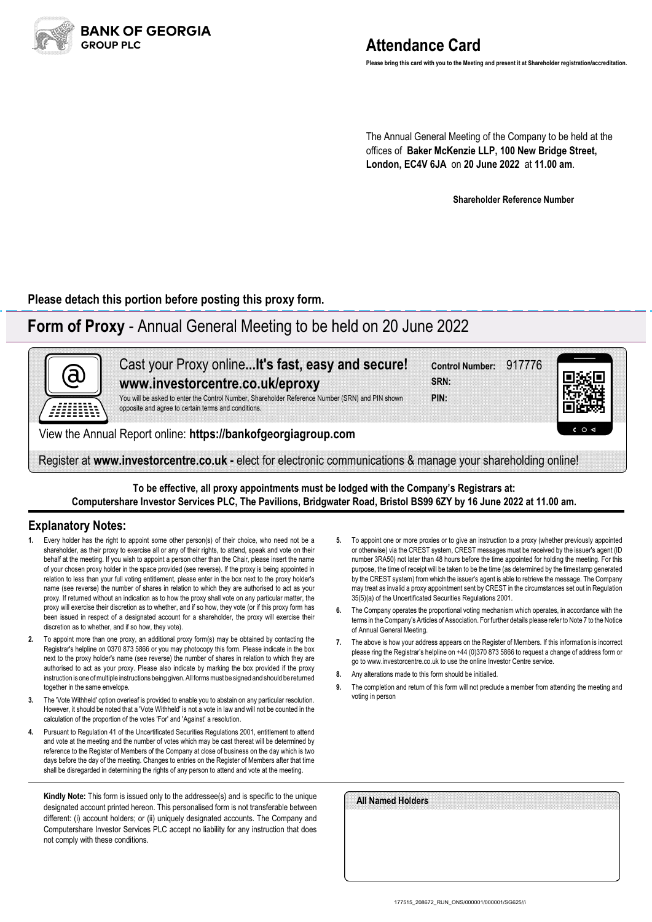

# **Attendance Card**

**Please bring this card with you to the Meeting and present it at Shareholder registration/accreditation.**

The Annual General Meeting of the Company to be held at the offices of **Baker McKenzie LLP, 100 New Bridge Street, London, EC4V 6JA** on **20 June 2022** at **11.00 am**.

**Shareholder Reference Number**

**Please detach this portion before posting this proxy form.**

## **Form of Proxy** - Annual General Meeting to be held on 20 June 2022



**To be effective, all proxy appointments must be lodged with the Company's Registrars at: Computershare Investor Services PLC, The Pavilions, Bridgwater Road, Bristol BS99 6ZY by 16 June 2022 at 11.00 am.**

### **Explanatory Notes:**

- Every holder has the right to appoint some other person(s) of their choice, who need not be a shareholder, as their proxy to exercise all or any of their rights, to attend, speak and vote on their behalf at the meeting. If you wish to appoint a person other than the Chair, please insert the name of your chosen proxy holder in the space provided (see reverse). If the proxy is being appointed in relation to less than your full voting entitlement, please enter in the box next to the proxy holder's name (see reverse) the number of shares in relation to which they are authorised to act as your proxy. If returned without an indication as to how the proxy shall vote on any particular matter, the proxy will exercise their discretion as to whether, and if so how, they vote (or if this proxy form has been issued in respect of a designated account for a shareholder, the proxy will exercise their discretion as to whether, and if so how, they vote).
- **2.** To appoint more than one proxy, an additional proxy form(s) may be obtained by contacting the Registrar's helpline on 0370 873 5866 or you may photocopy this form. Please indicate in the box next to the proxy holder's name (see reverse) the number of shares in relation to which they are authorised to act as your proxy. Please also indicate by marking the box provided if the proxy instruction is one of multiple instructions being given. All forms must be signed and should be returned together in the same envelope.
- **3.** The 'Vote Withheld' option overleaf is provided to enable you to abstain on any particular resolution. However, it should be noted that a 'Vote Withheld' is not a vote in law and will not be counted in the calculation of the proportion of the votes 'For' and 'Against' a resolution.
- **4.** Pursuant to Regulation 41 of the Uncertificated Securities Regulations 2001, entitlement to attend and vote at the meeting and the number of votes which may be cast thereat will be determined by reference to the Register of Members of the Company at close of business on the day which is two days before the day of the meeting. Changes to entries on the Register of Members after that time shall be disregarded in determining the rights of any person to attend and vote at the meeting.

**Kindly Note:** This form is issued only to the addressee(s) and is specific to the unique designated account printed hereon. This personalised form is not transferable between different: (i) account holders; or (ii) uniquely designated accounts. The Company and Computershare Investor Services PLC accept no liability for any instruction that does not comply with these conditions.

- **5.** To appoint one or more proxies or to give an instruction to a proxy (whether previously appointed or otherwise) via the CREST system, CREST messages must be received by the issuer's agent (ID number 3RA50) not later than 48 hours before the time appointed for holding the meeting. For this purpose, the time of receipt will be taken to be the time (as determined by the timestamp generated by the CREST system) from which the issuer's agent is able to retrieve the message. The Company may treat as invalid a proxy appointment sent by CREST in the circumstances set out in Regulation 35(5)(a) of the Uncertificated Securities Regulations 2001.
- **6.** The Company operates the proportional voting mechanism which operates, in accordance with the terms in the Company's Articles of Association. For further details please refer to Note 7 to the Notice of Annual General Meeting.
- **7.** The above is how your address appears on the Register of Members. If this information is incorrect please ring the Registrar's helpline on +44 (0)370 873 5866 to request a change of address form or go to www.investorcentre.co.uk to use the online Investor Centre service.
- **8.** Any alterations made to this form should be initialled.
- **9.** The completion and return of this form will not preclude a member from attending the meeting and voting in person

| All Named Holders |  |  |
|-------------------|--|--|
|                   |  |  |
|                   |  |  |
|                   |  |  |
|                   |  |  |